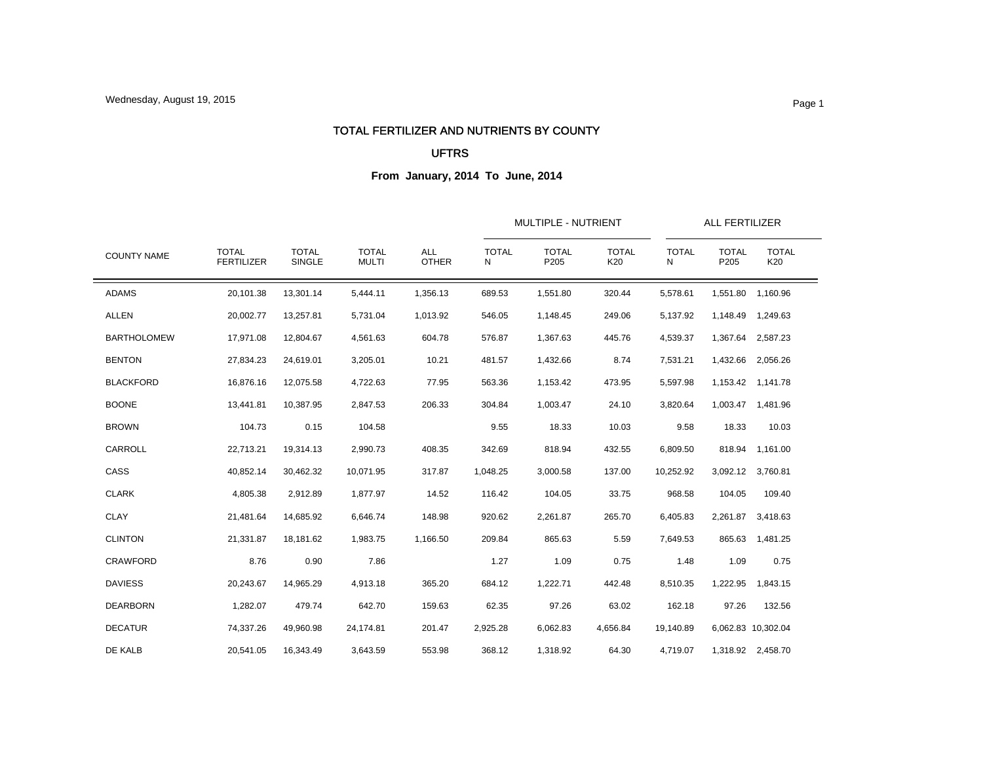### TOTAL FERTILIZER AND NUTRIENTS BY COUNTY

### UFTRS

| <b>COUNTY NAME</b> |                                   |                        | <b>TOTAL</b><br><b>MULTI</b> | <b>ALL</b><br><b>OTHER</b> |                   | MULTIPLE - NUTRIENT  |                     | ALL FERTILIZER    |                      |                     |
|--------------------|-----------------------------------|------------------------|------------------------------|----------------------------|-------------------|----------------------|---------------------|-------------------|----------------------|---------------------|
|                    | <b>TOTAL</b><br><b>FERTILIZER</b> | <b>TOTAL</b><br>SINGLE |                              |                            | <b>TOTAL</b><br>N | <b>TOTAL</b><br>P205 | <b>TOTAL</b><br>K20 | <b>TOTAL</b><br>N | <b>TOTAL</b><br>P205 | <b>TOTAL</b><br>K20 |
| <b>ADAMS</b>       | 20,101.38                         | 13,301.14              | 5,444.11                     | 1,356.13                   | 689.53            | 1,551.80             | 320.44              | 5,578.61          | 1,551.80             | 1,160.96            |
| <b>ALLEN</b>       | 20,002.77                         | 13,257.81              | 5.731.04                     | 1,013.92                   | 546.05            | 1,148.45             | 249.06              | 5,137.92          |                      | 1,148.49 1,249.63   |
| <b>BARTHOLOMEW</b> | 17,971.08                         | 12,804.67              | 4,561.63                     | 604.78                     | 576.87            | 1,367.63             | 445.76              | 4,539.37          |                      | 1,367.64 2,587.23   |
| <b>BENTON</b>      | 27,834.23                         | 24,619.01              | 3,205.01                     | 10.21                      | 481.57            | 1,432.66             | 8.74                | 7,531.21          | 1,432.66             | 2,056.26            |
| <b>BLACKFORD</b>   | 16,876.16                         | 12,075.58              | 4,722.63                     | 77.95                      | 563.36            | 1,153.42             | 473.95              | 5,597.98          |                      | 1,153.42 1,141.78   |
| <b>BOONE</b>       | 13,441.81                         | 10,387.95              | 2,847.53                     | 206.33                     | 304.84            | 1,003.47             | 24.10               | 3,820.64          |                      | 1,003.47 1,481.96   |
| <b>BROWN</b>       | 104.73                            | 0.15                   | 104.58                       |                            | 9.55              | 18.33                | 10.03               | 9.58              | 18.33                | 10.03               |
| CARROLL            | 22,713.21                         | 19,314.13              | 2,990.73                     | 408.35                     | 342.69            | 818.94               | 432.55              | 6,809.50          | 818.94               | 1,161.00            |
| CASS               | 40,852.14                         | 30,462.32              | 10,071.95                    | 317.87                     | 1,048.25          | 3,000.58             | 137.00              | 10,252.92         |                      | 3,092.12 3,760.81   |
| <b>CLARK</b>       | 4,805.38                          | 2,912.89               | 1.877.97                     | 14.52                      | 116.42            | 104.05               | 33.75               | 968.58            | 104.05               | 109.40              |
| <b>CLAY</b>        | 21,481.64                         | 14,685.92              | 6,646.74                     | 148.98                     | 920.62            | 2,261.87             | 265.70              | 6,405.83          | 2,261.87             | 3,418.63            |
| <b>CLINTON</b>     | 21,331.87                         | 18.181.62              | 1,983.75                     | 1,166.50                   | 209.84            | 865.63               | 5.59                | 7,649.53          |                      | 865.63 1,481.25     |
| <b>CRAWFORD</b>    | 8.76                              | 0.90                   | 7.86                         |                            | 1.27              | 1.09                 | 0.75                | 1.48              | 1.09                 | 0.75                |
| <b>DAVIESS</b>     | 20,243.67                         | 14,965.29              | 4,913.18                     | 365.20                     | 684.12            | 1,222.71             | 442.48              | 8,510.35          | 1,222.95             | 1,843.15            |
| <b>DEARBORN</b>    | 1,282.07                          | 479.74                 | 642.70                       | 159.63                     | 62.35             | 97.26                | 63.02               | 162.18            | 97.26                | 132.56              |
| <b>DECATUR</b>     | 74,337.26                         | 49,960.98              | 24,174.81                    | 201.47                     | 2,925.28          | 6,062.83             | 4,656.84            | 19,140.89         |                      | 6,062.83 10,302.04  |
| DE KALB            | 20,541.05                         | 16,343.49              | 3,643.59                     | 553.98                     | 368.12            | 1,318.92             | 64.30               | 4,719.07          |                      | 1,318.92 2,458.70   |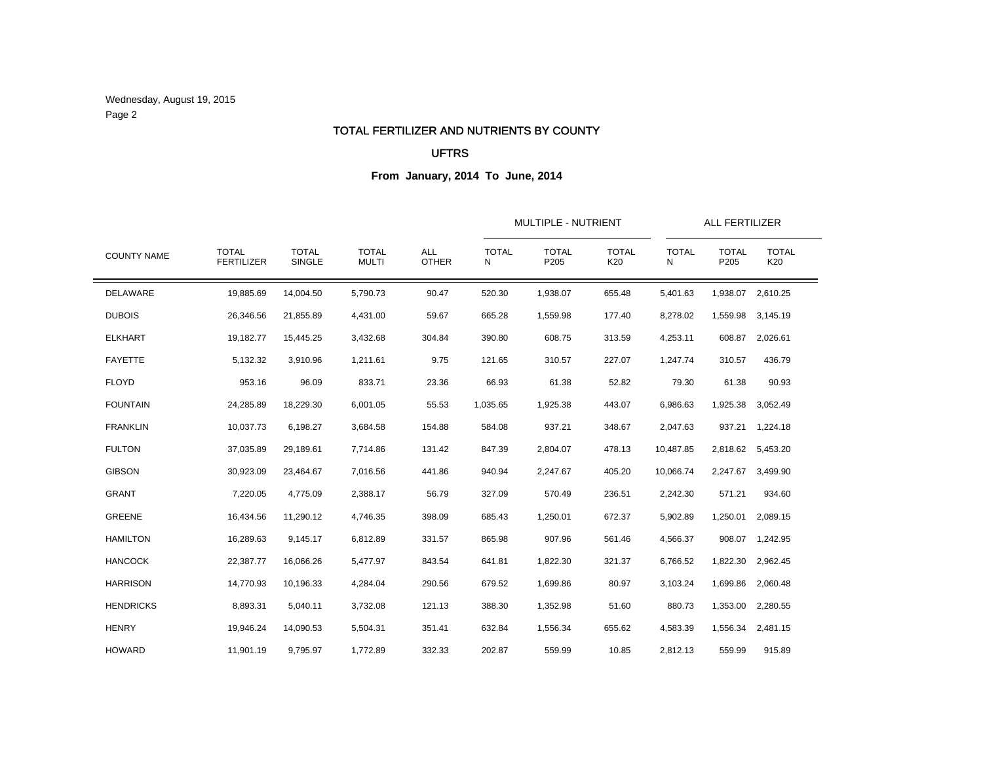Wednesday, August 19, 2015 Page 2

### TOTAL FERTILIZER AND NUTRIENTS BY COUNTY

## UFTRS

| <b>COUNTY NAME</b> |                                   |                        | <b>TOTAL</b><br><b>MULTI</b> | <b>ALL</b><br><b>OTHER</b> |                   | MULTIPLE - NUTRIENT  |                     | ALL FERTILIZER    |                      |                     |
|--------------------|-----------------------------------|------------------------|------------------------------|----------------------------|-------------------|----------------------|---------------------|-------------------|----------------------|---------------------|
|                    | <b>TOTAL</b><br><b>FERTILIZER</b> | <b>TOTAL</b><br>SINGLE |                              |                            | <b>TOTAL</b><br>N | <b>TOTAL</b><br>P205 | <b>TOTAL</b><br>K20 | <b>TOTAL</b><br>N | <b>TOTAL</b><br>P205 | <b>TOTAL</b><br>K20 |
| DELAWARE           | 19,885.69                         | 14,004.50              | 5,790.73                     | 90.47                      | 520.30            | 1,938.07             | 655.48              | 5,401.63          | 1,938.07             | 2,610.25            |
| <b>DUBOIS</b>      | 26,346.56                         | 21,855.89              | 4,431.00                     | 59.67                      | 665.28            | 1,559.98             | 177.40              | 8,278.02          | 1,559.98             | 3,145.19            |
| <b>ELKHART</b>     | 19,182.77                         | 15,445.25              | 3,432.68                     | 304.84                     | 390.80            | 608.75               | 313.59              | 4,253.11          | 608.87               | 2,026.61            |
| <b>FAYETTE</b>     | 5,132.32                          | 3,910.96               | 1,211.61                     | 9.75                       | 121.65            | 310.57               | 227.07              | 1,247.74          | 310.57               | 436.79              |
| <b>FLOYD</b>       | 953.16                            | 96.09                  | 833.71                       | 23.36                      | 66.93             | 61.38                | 52.82               | 79.30             | 61.38                | 90.93               |
| <b>FOUNTAIN</b>    | 24,285.89                         | 18,229.30              | 6,001.05                     | 55.53                      | 1,035.65          | 1,925.38             | 443.07              | 6,986.63          | 1,925.38             | 3,052.49            |
| <b>FRANKLIN</b>    | 10,037.73                         | 6,198.27               | 3,684.58                     | 154.88                     | 584.08            | 937.21               | 348.67              | 2,047.63          |                      | 937.21 1,224.18     |
| <b>FULTON</b>      | 37,035.89                         | 29,189.61              | 7,714.86                     | 131.42                     | 847.39            | 2,804.07             | 478.13              | 10,487.85         |                      | 2,818.62 5,453.20   |
| <b>GIBSON</b>      | 30,923.09                         | 23,464.67              | 7,016.56                     | 441.86                     | 940.94            | 2,247.67             | 405.20              | 10,066.74         | 2,247.67             | 3,499.90            |
| <b>GRANT</b>       | 7,220.05                          | 4,775.09               | 2.388.17                     | 56.79                      | 327.09            | 570.49               | 236.51              | 2,242.30          | 571.21               | 934.60              |
| <b>GREENE</b>      | 16,434.56                         | 11,290.12              | 4,746.35                     | 398.09                     | 685.43            | 1,250.01             | 672.37              | 5,902.89          | 1,250.01             | 2,089.15            |
| <b>HAMILTON</b>    | 16,289.63                         | 9,145.17               | 6,812.89                     | 331.57                     | 865.98            | 907.96               | 561.46              | 4,566.37          |                      | 908.07 1,242.95     |
| <b>HANCOCK</b>     | 22,387.77                         | 16,066.26              | 5,477.97                     | 843.54                     | 641.81            | 1,822.30             | 321.37              | 6,766.52          | 1,822.30             | 2,962.45            |
| <b>HARRISON</b>    | 14,770.93                         | 10.196.33              | 4,284.04                     | 290.56                     | 679.52            | 1,699.86             | 80.97               | 3,103.24          | 1,699.86             | 2,060.48            |
| <b>HENDRICKS</b>   | 8,893.31                          | 5,040.11               | 3,732.08                     | 121.13                     | 388.30            | 1,352.98             | 51.60               | 880.73            | 1,353.00             | 2,280.55            |
| <b>HENRY</b>       | 19,946.24                         | 14,090.53              | 5,504.31                     | 351.41                     | 632.84            | 1,556.34             | 655.62              | 4,583.39          | 1,556.34             | 2,481.15            |
| <b>HOWARD</b>      | 11,901.19                         | 9,795.97               | 1,772.89                     | 332.33                     | 202.87            | 559.99               | 10.85               | 2,812.13          | 559.99               | 915.89              |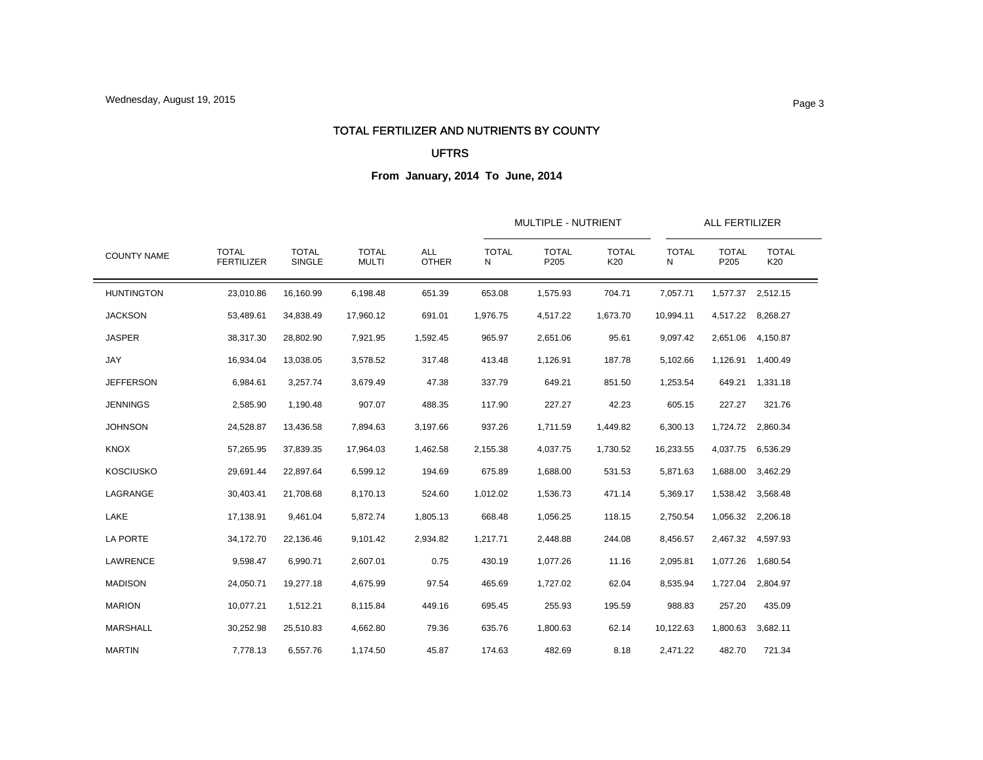#### TOTAL FERTILIZER AND NUTRIENTS BY COUNTY

### UFTRS

| <b>COUNTY NAME</b> |                                   |                        | <b>TOTAL</b><br><b>MULTI</b> | <b>ALL</b><br><b>OTHER</b> |                   | <b>MULTIPLE - NUTRIENT</b> |                     | <b>ALL FERTILIZER</b> |                      |                     |
|--------------------|-----------------------------------|------------------------|------------------------------|----------------------------|-------------------|----------------------------|---------------------|-----------------------|----------------------|---------------------|
|                    | <b>TOTAL</b><br><b>FERTILIZER</b> | <b>TOTAL</b><br>SINGLE |                              |                            | <b>TOTAL</b><br>N | <b>TOTAL</b><br>P205       | <b>TOTAL</b><br>K20 | <b>TOTAL</b><br>N     | <b>TOTAL</b><br>P205 | <b>TOTAL</b><br>K20 |
| <b>HUNTINGTON</b>  | 23,010.86                         | 16,160.99              | 6,198.48                     | 651.39                     | 653.08            | 1,575.93                   | 704.71              | 7,057.71              |                      | 1,577.37 2,512.15   |
| <b>JACKSON</b>     | 53,489.61                         | 34,838.49              | 17,960.12                    | 691.01                     | 1,976.75          | 4,517.22                   | 1,673.70            | 10,994.11             |                      | 4,517.22 8,268.27   |
| <b>JASPER</b>      | 38,317.30                         | 28,802.90              | 7,921.95                     | 1,592.45                   | 965.97            | 2,651.06                   | 95.61               | 9,097.42              |                      | 2,651.06 4,150.87   |
| JAY                | 16,934.04                         | 13,038.05              | 3,578.52                     | 317.48                     | 413.48            | 1,126.91                   | 187.78              | 5,102.66              |                      | 1,126.91 1,400.49   |
| <b>JEFFERSON</b>   | 6,984.61                          | 3,257.74               | 3,679.49                     | 47.38                      | 337.79            | 649.21                     | 851.50              | 1,253.54              |                      | 649.21 1,331.18     |
| <b>JENNINGS</b>    | 2,585.90                          | 1,190.48               | 907.07                       | 488.35                     | 117.90            | 227.27                     | 42.23               | 605.15                | 227.27               | 321.76              |
| <b>JOHNSON</b>     | 24,528.87                         | 13,436.58              | 7,894.63                     | 3,197.66                   | 937.26            | 1,711.59                   | 1,449.82            | 6,300.13              |                      | 1,724.72 2,860.34   |
| <b>KNOX</b>        | 57,265.95                         | 37,839.35              | 17,964.03                    | 1,462.58                   | 2,155.38          | 4,037.75                   | 1,730.52            | 16,233.55             | 4,037.75             | 6,536.29            |
| <b>KOSCIUSKO</b>   | 29,691.44                         | 22,897.64              | 6,599.12                     | 194.69                     | 675.89            | 1,688.00                   | 531.53              | 5,871.63              | 1,688.00             | 3,462.29            |
| LAGRANGE           | 30,403.41                         | 21,708.68              | 8,170.13                     | 524.60                     | 1,012.02          | 1,536.73                   | 471.14              | 5,369.17              |                      | 1,538.42 3,568.48   |
| LAKE               | 17,138.91                         | 9,461.04               | 5,872.74                     | 1,805.13                   | 668.48            | 1,056.25                   | 118.15              | 2,750.54              |                      | 1,056.32 2,206.18   |
| LA PORTE           | 34,172.70                         | 22,136.46              | 9,101.42                     | 2,934.82                   | 1,217.71          | 2,448.88                   | 244.08              | 8,456.57              |                      | 2,467.32 4,597.93   |
| <b>LAWRENCE</b>    | 9,598.47                          | 6,990.71               | 2,607.01                     | 0.75                       | 430.19            | 1,077.26                   | 11.16               | 2,095.81              |                      | 1,077.26 1,680.54   |
| <b>MADISON</b>     | 24,050.71                         | 19,277.18              | 4,675.99                     | 97.54                      | 465.69            | 1,727.02                   | 62.04               | 8,535.94              | 1,727.04             | 2,804.97            |
| <b>MARION</b>      | 10,077.21                         | 1,512.21               | 8,115.84                     | 449.16                     | 695.45            | 255.93                     | 195.59              | 988.83                | 257.20               | 435.09              |
| MARSHALL           | 30,252.98                         | 25,510.83              | 4,662.80                     | 79.36                      | 635.76            | 1,800.63                   | 62.14               | 10,122.63             | 1,800.63             | 3,682.11            |
| <b>MARTIN</b>      | 7,778.13                          | 6,557.76               | 1,174.50                     | 45.87                      | 174.63            | 482.69                     | 8.18                | 2,471.22              | 482.70               | 721.34              |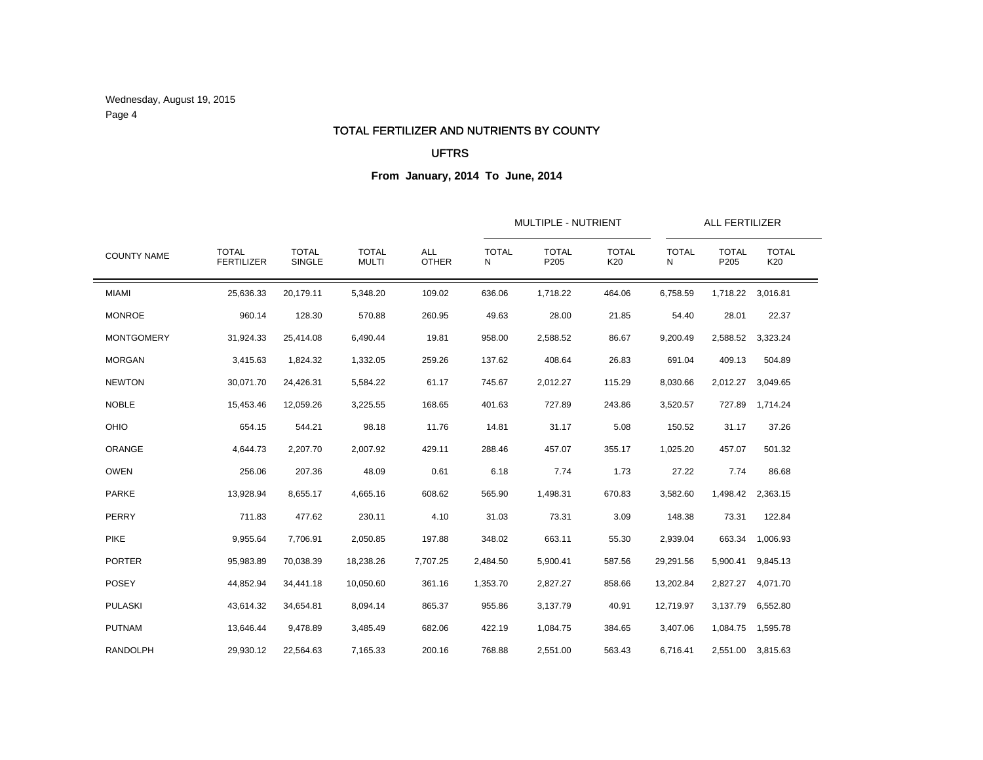Wednesday, August 19, 2015 Page 4

#### TOTAL FERTILIZER AND NUTRIENTS BY COUNTY

## UFTRS

| <b>COUNTY NAME</b> |                                   |                        |                              |                            |                   | MULTIPLE - NUTRIENT  |                     |                   | ALL FERTILIZER       |                     |  |
|--------------------|-----------------------------------|------------------------|------------------------------|----------------------------|-------------------|----------------------|---------------------|-------------------|----------------------|---------------------|--|
|                    | <b>TOTAL</b><br><b>FERTILIZER</b> | <b>TOTAL</b><br>SINGLE | <b>TOTAL</b><br><b>MULTI</b> | <b>ALL</b><br><b>OTHER</b> | <b>TOTAL</b><br>N | <b>TOTAL</b><br>P205 | <b>TOTAL</b><br>K20 | <b>TOTAL</b><br>N | <b>TOTAL</b><br>P205 | <b>TOTAL</b><br>K20 |  |
| <b>MIAMI</b>       | 25,636.33                         | 20,179.11              | 5,348.20                     | 109.02                     | 636.06            | 1,718.22             | 464.06              | 6,758.59          |                      | 1,718.22 3,016.81   |  |
| <b>MONROE</b>      | 960.14                            | 128.30                 | 570.88                       | 260.95                     | 49.63             | 28.00                | 21.85               | 54.40             | 28.01                | 22.37               |  |
| <b>MONTGOMERY</b>  | 31,924.33                         | 25,414.08              | 6,490.44                     | 19.81                      | 958.00            | 2,588.52             | 86.67               | 9,200.49          | 2,588.52             | 3,323.24            |  |
| <b>MORGAN</b>      | 3,415.63                          | 1,824.32               | 1,332.05                     | 259.26                     | 137.62            | 408.64               | 26.83               | 691.04            | 409.13               | 504.89              |  |
| <b>NEWTON</b>      | 30,071.70                         | 24,426.31              | 5,584.22                     | 61.17                      | 745.67            | 2,012.27             | 115.29              | 8,030.66          | 2,012.27             | 3,049.65            |  |
| <b>NOBLE</b>       | 15,453.46                         | 12,059.26              | 3,225.55                     | 168.65                     | 401.63            | 727.89               | 243.86              | 3,520.57          | 727.89               | 1,714.24            |  |
| OHIO               | 654.15                            | 544.21                 | 98.18                        | 11.76                      | 14.81             | 31.17                | 5.08                | 150.52            | 31.17                | 37.26               |  |
| ORANGE             | 4,644.73                          | 2,207.70               | 2.007.92                     | 429.11                     | 288.46            | 457.07               | 355.17              | 1,025.20          | 457.07               | 501.32              |  |
| <b>OWEN</b>        | 256.06                            | 207.36                 | 48.09                        | 0.61                       | 6.18              | 7.74                 | 1.73                | 27.22             | 7.74                 | 86.68               |  |
| <b>PARKE</b>       | 13,928.94                         | 8,655.17               | 4.665.16                     | 608.62                     | 565.90            | 1,498.31             | 670.83              | 3,582.60          | 1,498.42             | 2.363.15            |  |
| PERRY              | 711.83                            | 477.62                 | 230.11                       | 4.10                       | 31.03             | 73.31                | 3.09                | 148.38            | 73.31                | 122.84              |  |
| <b>PIKE</b>        | 9,955.64                          | 7,706.91               | 2,050.85                     | 197.88                     | 348.02            | 663.11               | 55.30               | 2,939.04          |                      | 663.34 1,006.93     |  |
| <b>PORTER</b>      | 95,983.89                         | 70,038.39              | 18,238.26                    | 7,707.25                   | 2,484.50          | 5,900.41             | 587.56              | 29,291.56         | 5,900.41             | 9,845.13            |  |
| <b>POSEY</b>       | 44,852.94                         | 34,441.18              | 10.050.60                    | 361.16                     | 1,353.70          | 2,827.27             | 858.66              | 13,202.84         | 2,827.27             | 4,071.70            |  |
| <b>PULASKI</b>     | 43,614.32                         | 34,654.81              | 8,094.14                     | 865.37                     | 955.86            | 3,137.79             | 40.91               | 12,719.97         |                      | 3,137.79 6,552.80   |  |
| <b>PUTNAM</b>      | 13,646.44                         | 9,478.89               | 3,485.49                     | 682.06                     | 422.19            | 1,084.75             | 384.65              | 3,407.06          |                      | 1,084.75  1,595.78  |  |
| RANDOLPH           | 29,930.12                         | 22,564.63              | 7,165.33                     | 200.16                     | 768.88            | 2,551.00             | 563.43              | 6,716.41          |                      | 2,551.00 3,815.63   |  |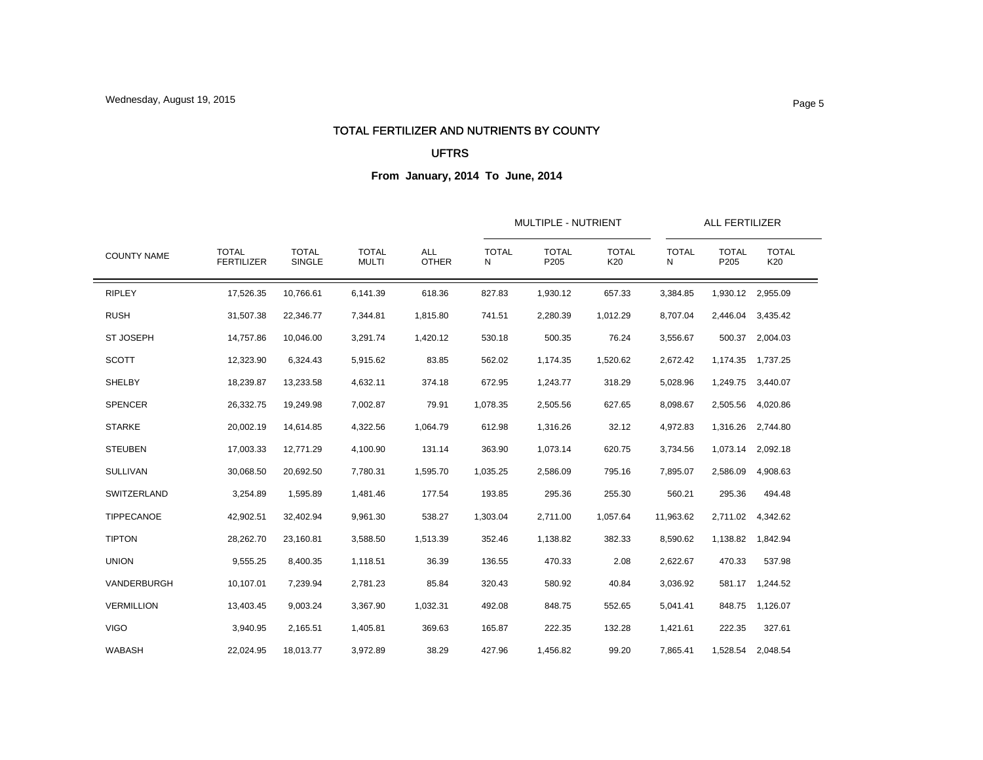### TOTAL FERTILIZER AND NUTRIENTS BY COUNTY

### UFTRS

| <b>COUNTY NAME</b> |                                   |                        | <b>TOTAL</b><br><b>MULTI</b> | <b>ALL</b><br><b>OTHER</b> |                   | <b>MULTIPLE - NUTRIENT</b> |                     |                   |                      | <b>ALL FERTILIZER</b> |  |
|--------------------|-----------------------------------|------------------------|------------------------------|----------------------------|-------------------|----------------------------|---------------------|-------------------|----------------------|-----------------------|--|
|                    | <b>TOTAL</b><br><b>FERTILIZER</b> | <b>TOTAL</b><br>SINGLE |                              |                            | <b>TOTAL</b><br>N | <b>TOTAL</b><br>P205       | <b>TOTAL</b><br>K20 | <b>TOTAL</b><br>N | <b>TOTAL</b><br>P205 | <b>TOTAL</b><br>K20   |  |
| <b>RIPLEY</b>      | 17,526.35                         | 10,766.61              | 6,141.39                     | 618.36                     | 827.83            | 1,930.12                   | 657.33              | 3,384.85          |                      | 1,930.12 2,955.09     |  |
| <b>RUSH</b>        | 31,507.38                         | 22,346.77              | 7,344.81                     | 1,815.80                   | 741.51            | 2,280.39                   | 1,012.29            | 8,707.04          |                      | 2,446.04 3,435.42     |  |
| <b>ST JOSEPH</b>   | 14,757.86                         | 10,046.00              | 3,291.74                     | 1,420.12                   | 530.18            | 500.35                     | 76.24               | 3,556.67          |                      | 500.37 2,004.03       |  |
| <b>SCOTT</b>       | 12,323.90                         | 6,324.43               | 5,915.62                     | 83.85                      | 562.02            | 1,174.35                   | 1,520.62            | 2,672.42          |                      | 1,174.35 1,737.25     |  |
| SHELBY             | 18,239.87                         | 13,233.58              | 4,632.11                     | 374.18                     | 672.95            | 1,243.77                   | 318.29              | 5,028.96          |                      | 1,249.75 3,440.07     |  |
| <b>SPENCER</b>     | 26,332.75                         | 19,249.98              | 7,002.87                     | 79.91                      | 1,078.35          | 2,505.56                   | 627.65              | 8,098.67          |                      | 2,505.56 4,020.86     |  |
| <b>STARKE</b>      | 20,002.19                         | 14,614.85              | 4,322.56                     | 1,064.79                   | 612.98            | 1,316.26                   | 32.12               | 4,972.83          |                      | 1,316.26 2,744.80     |  |
| <b>STEUBEN</b>     | 17,003.33                         | 12,771.29              | 4,100.90                     | 131.14                     | 363.90            | 1,073.14                   | 620.75              | 3,734.56          |                      | 1,073.14 2,092.18     |  |
| <b>SULLIVAN</b>    | 30,068.50                         | 20,692.50              | 7,780.31                     | 1,595.70                   | 1,035.25          | 2,586.09                   | 795.16              | 7,895.07          | 2,586.09             | 4,908.63              |  |
| SWITZERLAND        | 3,254.89                          | 1,595.89               | 1,481.46                     | 177.54                     | 193.85            | 295.36                     | 255.30              | 560.21            | 295.36               | 494.48                |  |
| TIPPECANOE         | 42,902.51                         | 32,402.94              | 9,961.30                     | 538.27                     | 1,303.04          | 2,711.00                   | 1,057.64            | 11,963.62         |                      | 2,711.02 4,342.62     |  |
| <b>TIPTON</b>      | 28,262.70                         | 23,160.81              | 3,588.50                     | 1,513.39                   | 352.46            | 1,138.82                   | 382.33              | 8,590.62          |                      | 1,138.82 1,842.94     |  |
| <b>UNION</b>       | 9,555.25                          | 8,400.35               | 1,118.51                     | 36.39                      | 136.55            | 470.33                     | 2.08                | 2,622.67          | 470.33               | 537.98                |  |
| VANDERBURGH        | 10,107.01                         | 7,239.94               | 2,781.23                     | 85.84                      | 320.43            | 580.92                     | 40.84               | 3,036.92          |                      | 581.17 1,244.52       |  |
| <b>VERMILLION</b>  | 13,403.45                         | 9,003.24               | 3.367.90                     | 1,032.31                   | 492.08            | 848.75                     | 552.65              | 5,041.41          |                      | 848.75 1,126.07       |  |
| <b>VIGO</b>        | 3,940.95                          | 2,165.51               | 1,405.81                     | 369.63                     | 165.87            | 222.35                     | 132.28              | 1,421.61          | 222.35               | 327.61                |  |
| <b>WABASH</b>      | 22,024.95                         | 18,013.77              | 3,972.89                     | 38.29                      | 427.96            | 1,456.82                   | 99.20               | 7,865.41          |                      | 1,528.54 2,048.54     |  |